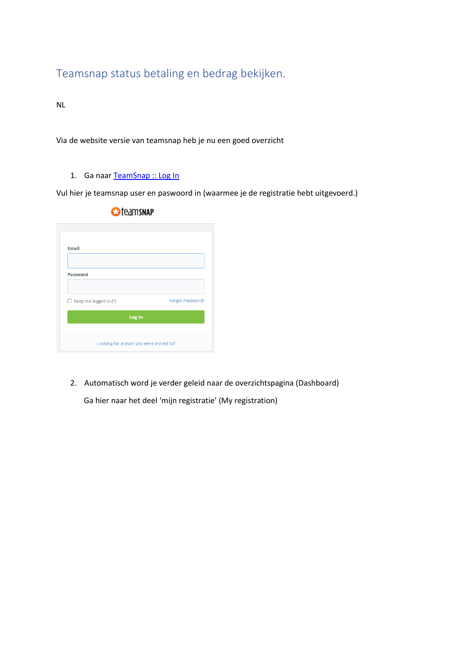# Teamsnap status betaling en bedrag bekijken.

NL

Via de website versie van teamsnap heb je nu een goed overzicht

#### 1. Ga naar [TeamSnap :: Log In](https://go.teamsnap.com/login/signin)

Vul hier je teamsnap user en paswoord in (waarmee je de registratie hebt uitgevoerd.)

| <b>Email</b>               |                  |
|----------------------------|------------------|
|                            |                  |
| <b>Password</b>            |                  |
|                            |                  |
| Keep me logged in (?)<br>◡ | Forgot Password? |
| Log In                     |                  |
|                            |                  |

## **C**teamsNAP

2. Automatisch word je verder geleid naar de overzichtspagina (Dashboard)

Ga hier naar het deel 'mijn registratie' (My registration)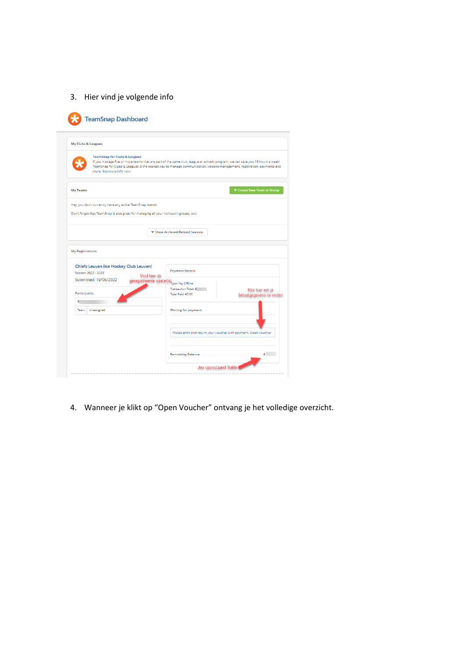### 3. Hier vind je volgende info

| <b>My Clubs &amp; Leagues</b>               |                                                                                                                                                                                                                                                                                                                                 |
|---------------------------------------------|---------------------------------------------------------------------------------------------------------------------------------------------------------------------------------------------------------------------------------------------------------------------------------------------------------------------------------|
|                                             | <b>TeamSnap for Clubs &amp; Leagues</b><br>If you manage five or more teams that are part of the same club, league or athletic program, we can save you 15 hours a week!<br>TeamSnap for Clubs & Leagues is the easiest way to manage communication, website management, registration, payments and<br>more. Get more info now! |
| <b>My Teams</b>                             | + Create New Team or Group                                                                                                                                                                                                                                                                                                      |
|                                             | Hey, you don't currently have any active TeamSnap teams!                                                                                                                                                                                                                                                                        |
|                                             | Don't forget that TeamSnap is also great for managing all your non-sport groups, too!                                                                                                                                                                                                                                           |
|                                             | ▼ Show Archived/Retired Seasons                                                                                                                                                                                                                                                                                                 |
|                                             |                                                                                                                                                                                                                                                                                                                                 |
|                                             |                                                                                                                                                                                                                                                                                                                                 |
| <b>My Registrations</b>                     |                                                                                                                                                                                                                                                                                                                                 |
|                                             |                                                                                                                                                                                                                                                                                                                                 |
|                                             | Chiefs Leuven (Ice Hockey Club Leuven)<br><b>Payment Details</b>                                                                                                                                                                                                                                                                |
| Season 2022 - 2023<br>Submitted: 19/06/2022 | Vind hier de                                                                                                                                                                                                                                                                                                                    |
|                                             | geregistreerde speler(s) <sub>ype: Pay Offline</sub><br>Transaction Total: €<br>Klik hier om je                                                                                                                                                                                                                                 |
| Participants                                | Total Paid: €0.00<br>betaalgegevens te vinden                                                                                                                                                                                                                                                                                   |
| x<br>Unassigned<br>Team                     | <b>Waiting for payment</b>                                                                                                                                                                                                                                                                                                      |
|                                             |                                                                                                                                                                                                                                                                                                                                 |
|                                             | Please print and return your voucher with payment. Open Voucher                                                                                                                                                                                                                                                                 |
|                                             | <b>Remaining Balance</b><br>£                                                                                                                                                                                                                                                                                                   |

4. Wanneer je klikt op "Open Voucher" ontvang je het volledige overzicht.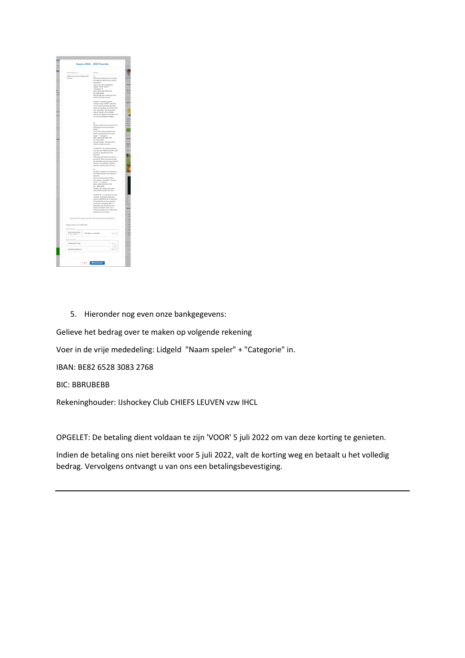

5. Hieronder nog even onze bankgegevens:

Gelieve het bedrag over te maken op volgende rekening

Voer in de vrije mededeling: Lidgeld "Naam speler" + "Categorie" in.

IBAN: BE82 6528 3083 2768

BIC: BBRUBEBB

Rekeninghouder: IJshockey Club CHIEFS LEUVEN vzw IHCL

OPGELET: De betaling dient voldaan te zijn 'VOOR' 5 juli 2022 om van deze korting te genieten.

Indien de betaling ons niet bereikt voor 5 juli 2022, valt de korting weg en betaalt u het volledig bedrag. Vervolgens ontvangt u van ons een betalingsbevestiging.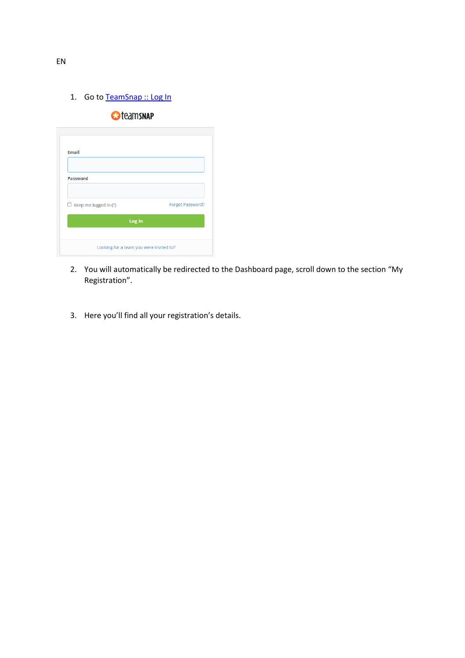1. Go to [TeamSnap :: Log In](https://go.teamsnap.com/login/signin)

#### **C** teams NAP

| <b>Email</b>                 |                  |
|------------------------------|------------------|
|                              |                  |
| <b>Password</b>              |                  |
|                              |                  |
| $\Box$ Keep me logged in (?) | Forgot Password? |
| Log In                       |                  |
|                              |                  |

- 2. You will automatically be redirected to the Dashboard page, scroll down to the section "My Registration".
- 3. Here you'll find all your registration's details.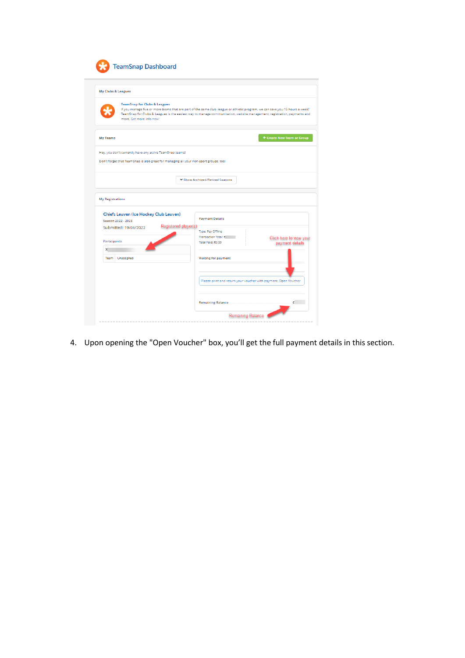|                         | <b>My Clubs &amp; Leagues</b>                                                         |                      |                                 |                                                                                                                                                                                                                                                          |
|-------------------------|---------------------------------------------------------------------------------------|----------------------|---------------------------------|----------------------------------------------------------------------------------------------------------------------------------------------------------------------------------------------------------------------------------------------------------|
|                         | <b>TeamSnap for Clubs &amp; Leagues</b><br>more. Get more info now!                   |                      |                                 | If you manage five or more teams that are part of the same club, league or athletic program, we can save you 15 hours a week!<br>TeamSnap for Clubs & Leagues is the easiest way to manage communication, website management, registration, payments and |
| <b>My Teams</b>         |                                                                                       |                      |                                 | + Create New Team or Group                                                                                                                                                                                                                               |
|                         | Hey, you don't currently have any active TeamSnap teams!                              |                      |                                 |                                                                                                                                                                                                                                                          |
|                         | Don't forget that TeamSnap is also great for managing all your non-sport groups, too! |                      |                                 |                                                                                                                                                                                                                                                          |
|                         |                                                                                       |                      |                                 |                                                                                                                                                                                                                                                          |
|                         |                                                                                       |                      |                                 |                                                                                                                                                                                                                                                          |
|                         |                                                                                       |                      | ▼ Show Archived/Retired Seasons |                                                                                                                                                                                                                                                          |
|                         |                                                                                       |                      |                                 |                                                                                                                                                                                                                                                          |
| <b>My Registrations</b> |                                                                                       |                      |                                 |                                                                                                                                                                                                                                                          |
|                         | Chiefs Leuven (Ice Hockey Club Leuven)<br>Season 2022 - 2023                          |                      | <b>Payment Details</b>          |                                                                                                                                                                                                                                                          |
|                         | Submitted: 19/06/2022                                                                 | Registered player(s) | Type: Pay Offline               |                                                                                                                                                                                                                                                          |
| Participants            |                                                                                       |                      | Transaction Total: €            | Click here to view your                                                                                                                                                                                                                                  |
| x                       |                                                                                       |                      | Total Paid: €0.00               | payment details                                                                                                                                                                                                                                          |
| Team                    | Unassigned                                                                            |                      | <b>Waiting for payment</b>      |                                                                                                                                                                                                                                                          |
|                         |                                                                                       |                      |                                 |                                                                                                                                                                                                                                                          |
|                         |                                                                                       |                      |                                 | Please print and return your voucher with payment. Open Voucher                                                                                                                                                                                          |

4. Upon opening the "Open Voucher" box, you'll get the full payment details in this section.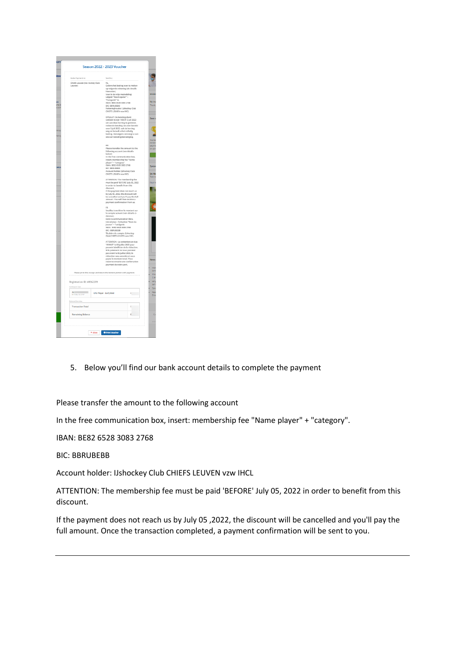

5. Below you'll find our bank account details to complete the payment

Please transfer the amount to the following account

In the free communication box, insert: membership fee "Name player" + "category".

IBAN: BE82 6528 3083 2768

BIC: BBRUBEBB

Account holder: IJshockey Club CHIEFS LEUVEN vzw IHCL

ATTENTION: The membership fee must be paid 'BEFORE' July 05, 2022 in order to benefit from this discount.

If the payment does not reach us by July 05 ,2022, the discount will be cancelled and you'll pay the full amount. Once the transaction completed, a payment confirmation will be sent to you.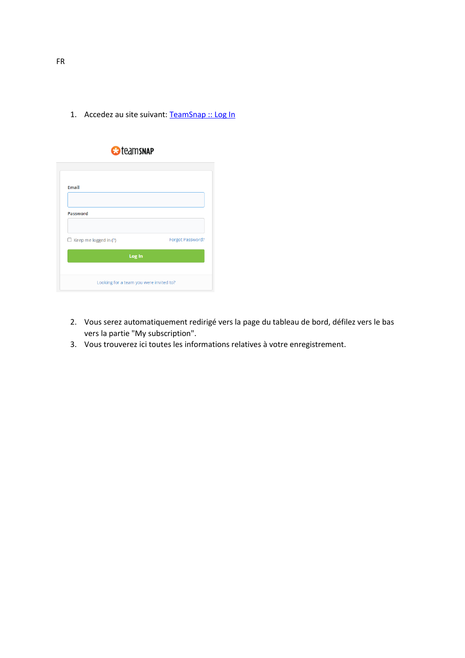1. Accedez au site suivant: [TeamSnap :: Log In](https://go.teamsnap.com/login/signin)

| <b>B</b> teamsnap                       |
|-----------------------------------------|
|                                         |
|                                         |
|                                         |
|                                         |
|                                         |
|                                         |
| Forgot Password?                        |
|                                         |
|                                         |
| Looking for a team you were invited to? |
|                                         |

- 2. Vous serez automatiquement redirigé vers la page du tableau de bord, défilez vers le bas vers la partie "My subscription".
- 3. Vous trouverez ici toutes les informations relatives à votre enregistrement.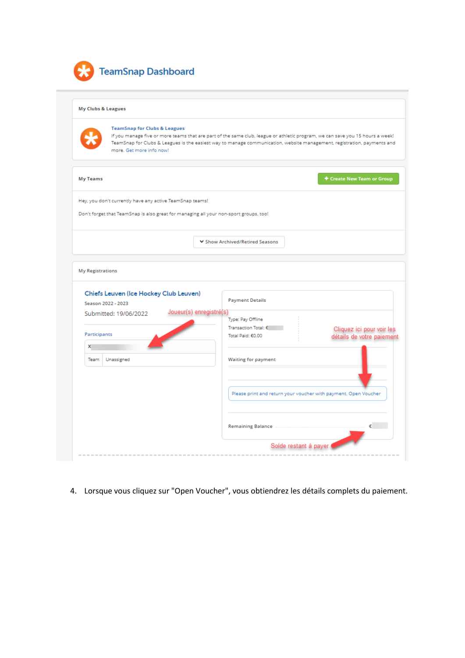

|                                                        | <b>TeamSnap for Clubs &amp; Leagues</b>                                                                                                                                                                                                                  |
|--------------------------------------------------------|----------------------------------------------------------------------------------------------------------------------------------------------------------------------------------------------------------------------------------------------------------|
|                                                        | If you manage five or more teams that are part of the same club, league or athletic program, we can save you 15 hours a week!<br>TeamSnap for Clubs & Leagues is the easiest way to manage communication, website management, registration, payments and |
|                                                        | more. Get more info now!                                                                                                                                                                                                                                 |
|                                                        |                                                                                                                                                                                                                                                          |
|                                                        |                                                                                                                                                                                                                                                          |
| <b>My Teams</b>                                        | + Create New Team or Group                                                                                                                                                                                                                               |
|                                                        | Hey, you don't currently have any active TeamSnap teams!                                                                                                                                                                                                 |
|                                                        | Don't forget that TeamSnap is also great for managing all your non-sport groups, too!                                                                                                                                                                    |
|                                                        |                                                                                                                                                                                                                                                          |
|                                                        |                                                                                                                                                                                                                                                          |
|                                                        | ↓ Show Archived/Retired Seasons                                                                                                                                                                                                                          |
|                                                        |                                                                                                                                                                                                                                                          |
|                                                        |                                                                                                                                                                                                                                                          |
| My Registrations<br>Season 2022 - 2023<br>Participants | Chiefs Leuven (Ice Hockey Club Leuven)<br><b>Payment Details</b><br>Joueur(s) enregistré(s)<br>Submitted: 19/06/2022<br>Type: Pay Offline<br>Transaction Total: €<br>Cliquez ici pour voir les<br>Total Paid: €0.00<br>détails de votre paiement         |
| x                                                      |                                                                                                                                                                                                                                                          |
| Team                                                   | Unassigned<br><b>Waiting for payment</b>                                                                                                                                                                                                                 |
|                                                        |                                                                                                                                                                                                                                                          |
|                                                        |                                                                                                                                                                                                                                                          |
|                                                        | Please print and return your voucher with payment. Open Voucher                                                                                                                                                                                          |
|                                                        |                                                                                                                                                                                                                                                          |
|                                                        |                                                                                                                                                                                                                                                          |
|                                                        | <b>Remaining Balance</b>                                                                                                                                                                                                                                 |

4. Lorsque vous cliquez sur "Open Voucher", vous obtiendrez les détails complets du paiement.